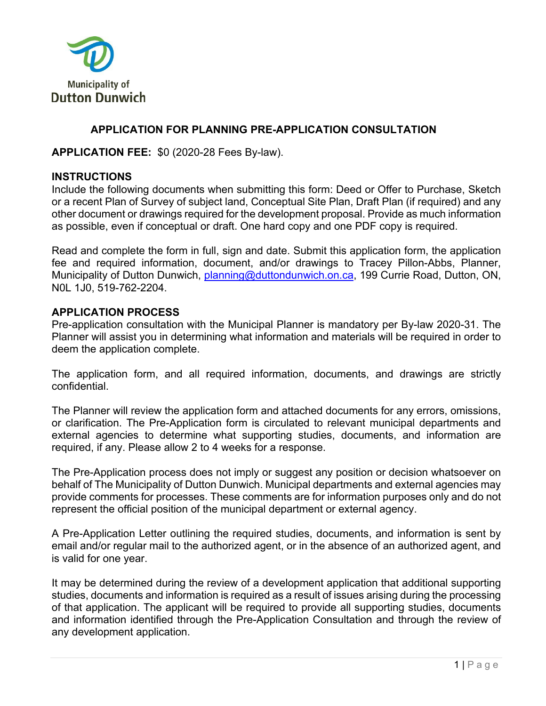

### **APPLICATION FOR PLANNING PRE-APPLICATION CONSULTATION**

**APPLICATION FEE:** \$0 (2020-28 Fees By-law).

#### **INSTRUCTIONS**

Include the following documents when submitting this form: Deed or Offer to Purchase, Sketch or a recent Plan of Survey of subject land, Conceptual Site Plan, Draft Plan (if required) and any other document or drawings required for the development proposal. Provide as much information as possible, even if conceptual or draft. One hard copy and one PDF copy is required.

Read and complete the form in full, sign and date. Submit this application form, the application fee and required information, document, and/or drawings to Tracey Pillon-Abbs, Planner, Municipality of Dutton Dunwich, planning@duttondunwich.on.ca, 199 Currie Road, Dutton, ON, N0L 1J0, 519-762-2204.

#### **APPLICATION PROCESS**

Pre-application consultation with the Municipal Planner is mandatory per By-law 2020-31. The Planner will assist you in determining what information and materials will be required in order to deem the application complete.

The application form, and all required information, documents, and drawings are strictly confidential.

The Planner will review the application form and attached documents for any errors, omissions, or clarification. The Pre-Application form is circulated to relevant municipal departments and external agencies to determine what supporting studies, documents, and information are required, if any. Please allow 2 to 4 weeks for a response.

The Pre-Application process does not imply or suggest any position or decision whatsoever on behalf of The Municipality of Dutton Dunwich. Municipal departments and external agencies may provide comments for processes. These comments are for information purposes only and do not represent the official position of the municipal department or external agency.

A Pre-Application Letter outlining the required studies, documents, and information is sent by email and/or regular mail to the authorized agent, or in the absence of an authorized agent, and is valid for one year.

It may be determined during the review of a development application that additional supporting studies, documents and information is required as a result of issues arising during the processing of that application. The applicant will be required to provide all supporting studies, documents and information identified through the Pre-Application Consultation and through the review of any development application.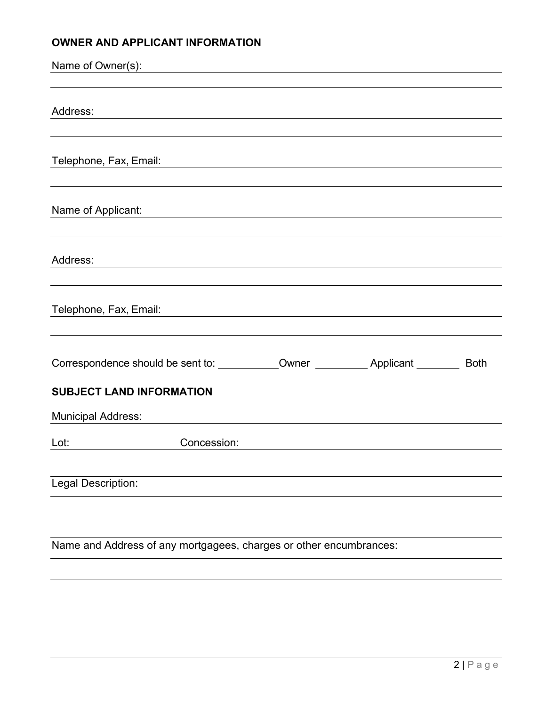# **OWNER AND APPLICANT INFORMATION**

| Name of Owner(s):                                                  |                                                                                                                      |                                                                                                                      | <u> 1980 - Andrea Andrew Maria (h. 1980).</u>                                    |  |
|--------------------------------------------------------------------|----------------------------------------------------------------------------------------------------------------------|----------------------------------------------------------------------------------------------------------------------|----------------------------------------------------------------------------------|--|
|                                                                    |                                                                                                                      |                                                                                                                      |                                                                                  |  |
| Address:                                                           | <u> 1989 - Johann Stein, marwolaethau a bhann an t-Amhair ann an t-Amhair an t-Amhair an t-Amhair an t-Amhair an</u> |                                                                                                                      |                                                                                  |  |
|                                                                    |                                                                                                                      |                                                                                                                      |                                                                                  |  |
| Telephone, Fax, Email:                                             |                                                                                                                      |                                                                                                                      | <u> 1980 - John Stoff, amerikansk politiker (d. 1980)</u>                        |  |
|                                                                    |                                                                                                                      |                                                                                                                      |                                                                                  |  |
| Name of Applicant:                                                 |                                                                                                                      | <u> 1989 - Andrea State Barbara, amerikan personal di sebagai personal di sebagai personal di sebagai personal d</u> |                                                                                  |  |
|                                                                    |                                                                                                                      |                                                                                                                      |                                                                                  |  |
| Address:                                                           |                                                                                                                      |                                                                                                                      | ,我们也不会有什么。""我们的人,我们也不会有什么?""我们的人,我们也不会有什么?""我们的人,我们也不会有什么?""我们的人,我们也不会有什么?""我们的人 |  |
| Telephone, Fax, Email:                                             |                                                                                                                      |                                                                                                                      |                                                                                  |  |
|                                                                    |                                                                                                                      |                                                                                                                      |                                                                                  |  |
|                                                                    |                                                                                                                      |                                                                                                                      |                                                                                  |  |
| <b>SUBJECT LAND INFORMATION</b>                                    |                                                                                                                      |                                                                                                                      |                                                                                  |  |
| <b>Municipal Address:</b>                                          |                                                                                                                      |                                                                                                                      |                                                                                  |  |
| Lot:                                                               | Concession:                                                                                                          |                                                                                                                      |                                                                                  |  |
|                                                                    |                                                                                                                      |                                                                                                                      |                                                                                  |  |
| Legal Description:                                                 |                                                                                                                      |                                                                                                                      |                                                                                  |  |
|                                                                    |                                                                                                                      |                                                                                                                      |                                                                                  |  |
|                                                                    |                                                                                                                      |                                                                                                                      |                                                                                  |  |
| Name and Address of any mortgagees, charges or other encumbrances: |                                                                                                                      |                                                                                                                      |                                                                                  |  |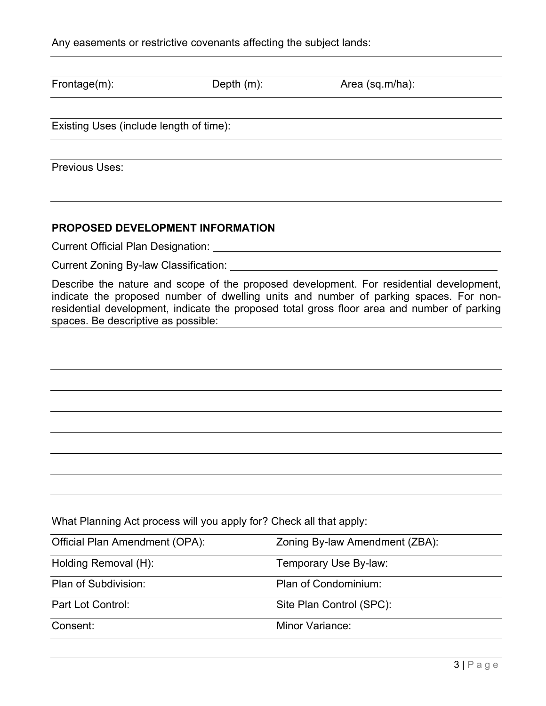| Frontage(m):                                                        | Depth $(m)$ : | Area (sq.m/ha):                                                                                                                                                                                                                                                                 |
|---------------------------------------------------------------------|---------------|---------------------------------------------------------------------------------------------------------------------------------------------------------------------------------------------------------------------------------------------------------------------------------|
| Existing Uses (include length of time):                             |               |                                                                                                                                                                                                                                                                                 |
| <b>Previous Uses:</b>                                               |               |                                                                                                                                                                                                                                                                                 |
|                                                                     |               |                                                                                                                                                                                                                                                                                 |
| <b>PROPOSED DEVELOPMENT INFORMATION</b>                             |               |                                                                                                                                                                                                                                                                                 |
| Current Official Plan Designation:                                  |               |                                                                                                                                                                                                                                                                                 |
| Current Zoning By-law Classification:                               |               |                                                                                                                                                                                                                                                                                 |
| spaces. Be descriptive as possible:                                 |               | Describe the nature and scope of the proposed development. For residential development,<br>indicate the proposed number of dwelling units and number of parking spaces. For non-<br>residential development, indicate the proposed total gross floor area and number of parking |
|                                                                     |               |                                                                                                                                                                                                                                                                                 |
|                                                                     |               |                                                                                                                                                                                                                                                                                 |
|                                                                     |               |                                                                                                                                                                                                                                                                                 |
|                                                                     |               |                                                                                                                                                                                                                                                                                 |
|                                                                     |               |                                                                                                                                                                                                                                                                                 |
| What Planning Act process will you apply for? Check all that apply: |               |                                                                                                                                                                                                                                                                                 |
| Official Plan Amendment (OPA):                                      |               | Zoning By-law Amendment (ZBA):                                                                                                                                                                                                                                                  |
| Holding Removal (H):                                                |               | Temporary Use By-law:                                                                                                                                                                                                                                                           |
| Plan of Subdivision:                                                |               | Plan of Condominium:                                                                                                                                                                                                                                                            |
| Part Lot Control:                                                   |               | Site Plan Control (SPC):                                                                                                                                                                                                                                                        |
| Consent:                                                            |               | Minor Variance:                                                                                                                                                                                                                                                                 |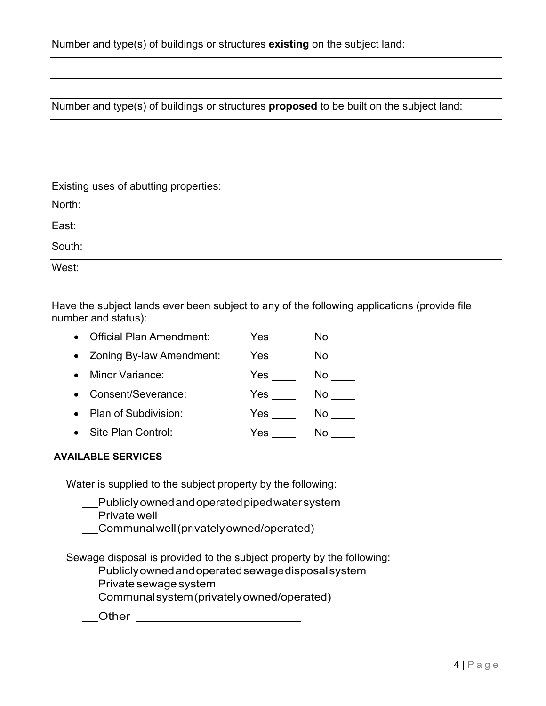Number and type(s) of buildings or structures **proposed** to be built on the subject land:

#### Existing uses of abutting properties:

North:

| East:  |  |
|--------|--|
| South: |  |
| West:  |  |

Have the subject lands ever been subject to any of the following applications (provide file number and status):

| <b>Official Plan Amendment:</b> | Yes | No |
|---------------------------------|-----|----|
| • Zoning By-law Amendment:      | Yes | No |
| Minor Variance:                 | Yes | No |
| Consent/Severance:              | Yes | No |
| • Plan of Subdivision:          | Yes | No |
| Site Plan Control:              | Yes | No |

#### **AVAILABLE SERVICES**

Water is supplied to the subject property by the following:

Publicly owned and operated piped water system

Private well

Communal well (privately owned/operated)

Sewage disposal is provided to the subject property by the following:

Publicly owned and operated sewage disposal system

Private sewage system

Communal system (privately owned/operated)

\_\_\_Other \_\_\_\_\_\_\_\_\_\_\_\_\_\_\_\_\_\_\_\_\_\_\_\_\_\_\_\_\_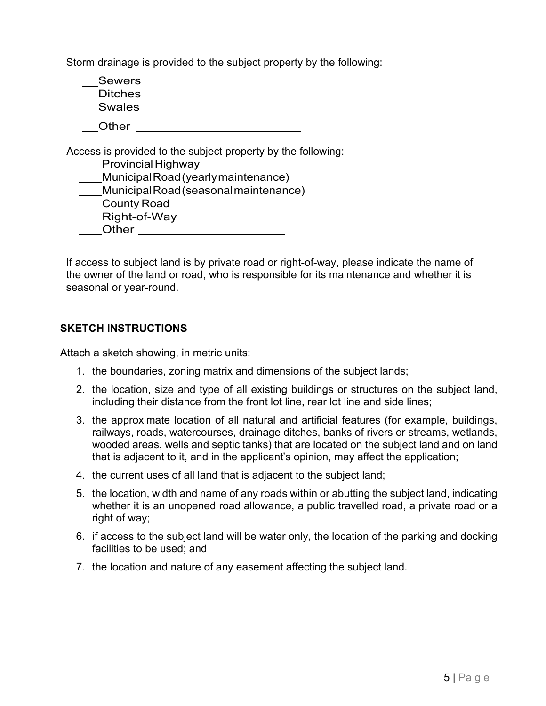Storm drainage is provided to the subject property by the following:

Sewers Ditches Swales

Other **Communist Communist Communist Communist Communist Communist Communist Communist Communist Communist Communist Communist Communist Communist Communist Communist Communist Communist Communist Communist Communist Commu** 

Access is provided to the subject property by the following: ss is provided to the su<br><u>Provincial Highway</u><br>Dead (us

\_\_\_\_Provincial Highway<br>Municipal Road (yearly maintenance)

\_\_Provincial Hignway<br>\_\_Municipal Road (yearly maintenance)<br>\_\_Municipal Road (seasonal maintenance) \_\_Municipal Road<br>\_\_Municipal Road<br>\_\_\_County Road

\_\_Municipal Road<br>\_\_County Road<br>\_\_Right-of-Way \_\_County<br>\_\_Right-∈<br>\_\_Other

If access to subject land is by private road or right-of-way, please indicate the name of the owner of the land or road, who is responsible for its maintenance and whether it is seasonal or year-round.

#### **SKETCH INSTRUCTIONS**

Attach a sketch showing, in metric units:

- 1. the boundaries, zoning matrix and dimensions of the subject lands;
- 2. the location, size and type of all existing buildings or structures on the subject land, including their distance from the front lot line, rear lot line and side lines;
- 3. the approximate location of all natural and artificial features (for example, buildings, railways, roads, watercourses, drainage ditches, banks of rivers or streams, wetlands, wooded areas, wells and septic tanks) that are located on the subject land and on land that is adjacent to it, and in the applicant's opinion, may affect the application;
- 4. the current uses of all land that is adjacent to the subject land;
- 5. the location, width and name of any roads within or abutting the subject land, indicating whether it is an unopened road allowance, a public travelled road, a private road or a right of way;
- 6. if access to the subject land will be water only, the location of the parking and docking facilities to be used; and
- 7. the location and nature of any easement affecting the subject land.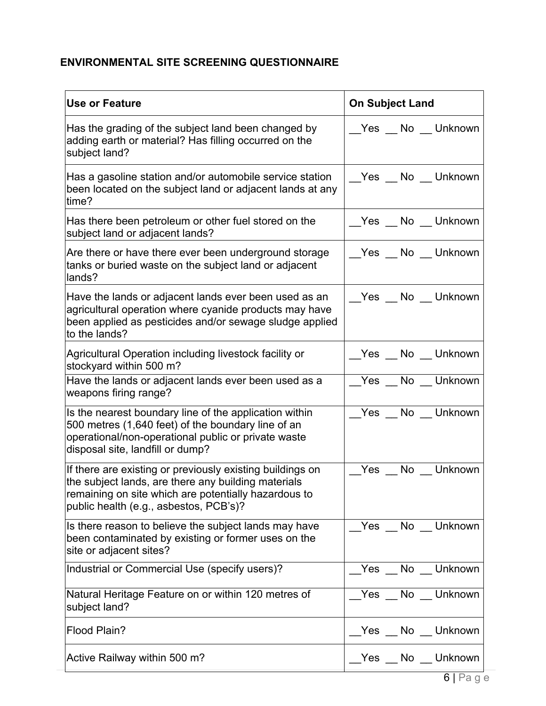# **ENVIRONMENTAL SITE SCREENING QUESTIONNAIRE**

| <b>Use or Feature</b>                                                                                                                                                                                              | <b>On Subject Land</b> |
|--------------------------------------------------------------------------------------------------------------------------------------------------------------------------------------------------------------------|------------------------|
| Has the grading of the subject land been changed by<br>adding earth or material? Has filling occurred on the<br>subject land?                                                                                      | Yes No Unknown         |
| Has a gasoline station and/or automobile service station<br>been located on the subject land or adjacent lands at any<br>time?                                                                                     | Yes _No _Unknown       |
| Has there been petroleum or other fuel stored on the<br>subject land or adjacent lands?                                                                                                                            | Yes No Unknown         |
| Are there or have there ever been underground storage<br>tanks or buried waste on the subject land or adjacent<br>lands?                                                                                           | Yes No Unknown         |
| Have the lands or adjacent lands ever been used as an<br>agricultural operation where cyanide products may have<br>been applied as pesticides and/or sewage sludge applied<br>to the lands?                        | __Yes __ No __ Unknown |
| Agricultural Operation including livestock facility or<br>stockyard within 500 m?                                                                                                                                  |                        |
| Have the lands or adjacent lands ever been used as a<br>weapons firing range?                                                                                                                                      | Yes No Unknown         |
| Is the nearest boundary line of the application within<br>500 metres (1,640 feet) of the boundary line of an<br>operational/non-operational public or private waste<br>disposal site, landfill or dump?            | Yes No Unknown         |
| If there are existing or previously existing buildings on<br>the subject lands, are there any building materials<br>remaining on site which are potentially hazardous to<br>public health (e.g., asbestos, PCB's)? | Yes No Unknown         |
| Is there reason to believe the subject lands may have<br>been contaminated by existing or former uses on the<br>site or adjacent sites?                                                                            | No Unknown<br>Yes      |
| Industrial or Commercial Use (specify users)?                                                                                                                                                                      | No Unknown<br>Yes      |
| Natural Heritage Feature on or within 120 metres of<br>subject land?                                                                                                                                               | Yes No Unknown         |
| Flood Plain?                                                                                                                                                                                                       | Yes No Unknown         |
| Active Railway within 500 m?                                                                                                                                                                                       | Yes No Unknown         |